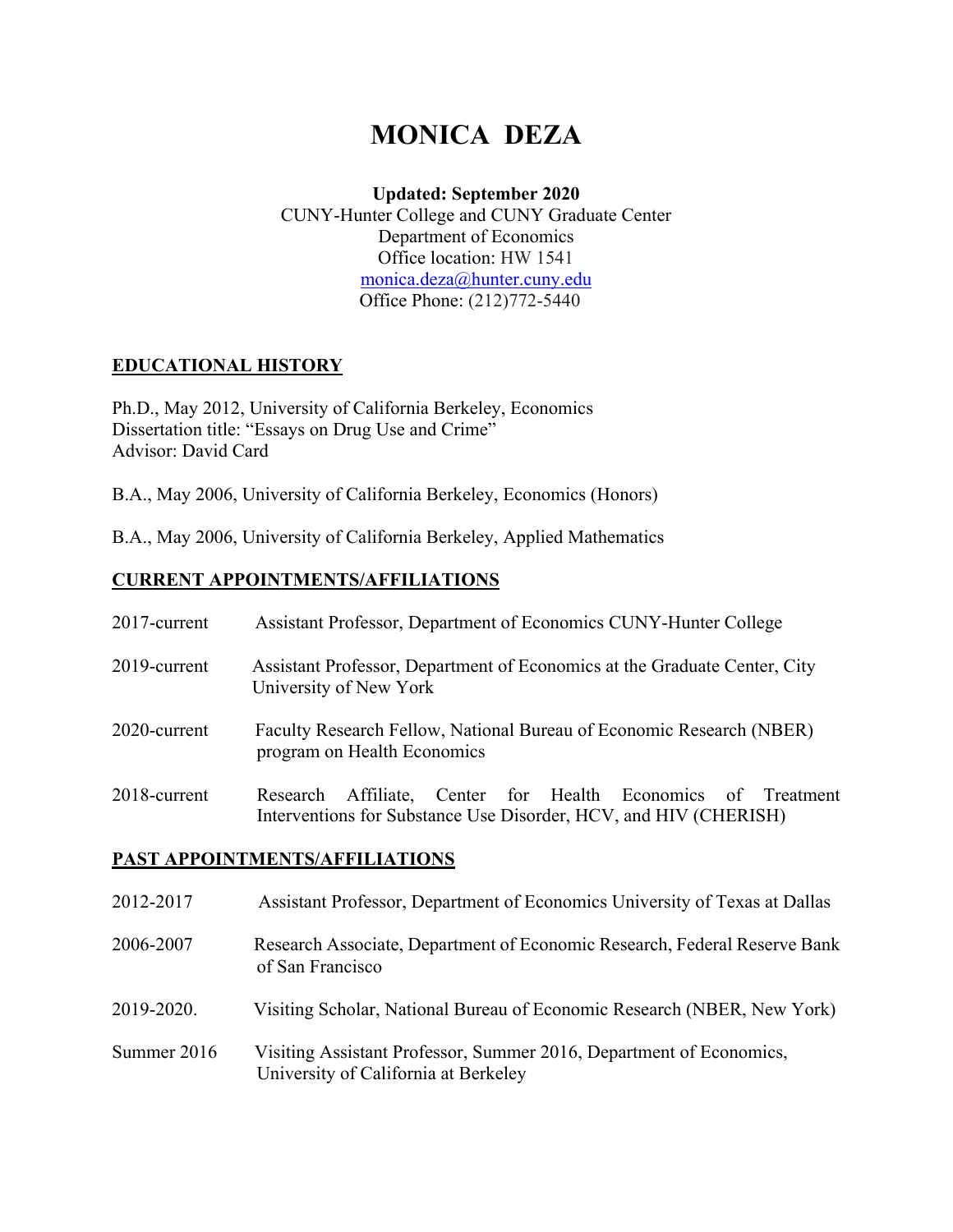# **MONICA DEZA**

### **Updated: September 2020**

CUNY-Hunter College and CUNY Graduate Center Department of Economics Office location: HW 1541 monica.deza@hunter.cuny.edu Office Phone: (212)772-5440

# **EDUCATIONAL HISTORY**

Ph.D., May 2012, University of California Berkeley, Economics Dissertation title: "Essays on Drug Use and Crime" Advisor: David Card

B.A., May 2006, University of California Berkeley, Economics (Honors)

B.A., May 2006, University of California Berkeley, Applied Mathematics

# **CURRENT APPOINTMENTS/AFFILIATIONS**

| 2017-current | Assistant Professor, Department of Economics CUNY-Hunter College                                                                    |  |  |
|--------------|-------------------------------------------------------------------------------------------------------------------------------------|--|--|
| 2019-current | Assistant Professor, Department of Economics at the Graduate Center, City<br>University of New York                                 |  |  |
| 2020-current | Faculty Research Fellow, National Bureau of Economic Research (NBER)<br>program on Health Economics                                 |  |  |
| 2018-current | Affiliate, Center for Health Economics of Treatment<br>Research<br>Interventions for Substance Use Disorder, HCV, and HIV (CHERISH) |  |  |

# **PAST APPOINTMENTS/AFFILIATIONS**

| 2012-2017   | Assistant Professor, Department of Economics University of Texas at Dallas                                  |
|-------------|-------------------------------------------------------------------------------------------------------------|
| 2006-2007   | Research Associate, Department of Economic Research, Federal Reserve Bank<br>of San Francisco               |
| 2019-2020.  | Visiting Scholar, National Bureau of Economic Research (NBER, New York)                                     |
| Summer 2016 | Visiting Assistant Professor, Summer 2016, Department of Economics,<br>University of California at Berkeley |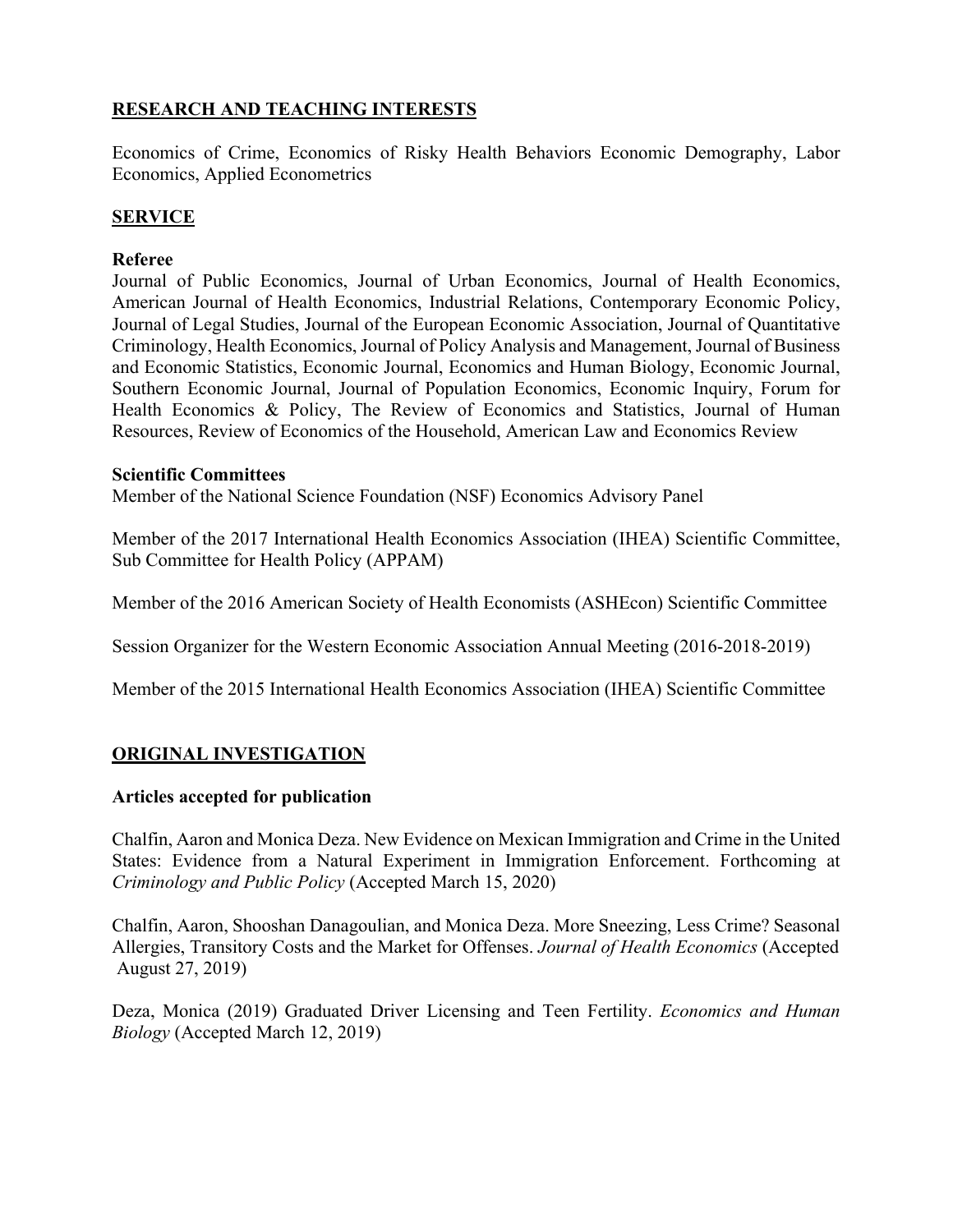# **RESEARCH AND TEACHING INTERESTS**

Economics of Crime, Economics of Risky Health Behaviors Economic Demography, Labor Economics, Applied Econometrics

# **SERVICE**

#### **Referee**

Journal of Public Economics, Journal of Urban Economics, Journal of Health Economics, American Journal of Health Economics, Industrial Relations, Contemporary Economic Policy, Journal of Legal Studies, Journal of the European Economic Association, Journal of Quantitative Criminology, Health Economics, Journal of Policy Analysis and Management, Journal of Business and Economic Statistics, Economic Journal, Economics and Human Biology, Economic Journal, Southern Economic Journal, Journal of Population Economics, Economic Inquiry, Forum for Health Economics & Policy, The Review of Economics and Statistics, Journal of Human Resources, Review of Economics of the Household, American Law and Economics Review

#### **Scientific Committees**

Member of the National Science Foundation (NSF) Economics Advisory Panel

Member of the 2017 International Health Economics Association (IHEA) Scientific Committee, Sub Committee for Health Policy (APPAM)

Member of the 2016 American Society of Health Economists (ASHEcon) Scientific Committee

Session Organizer for the Western Economic Association Annual Meeting (2016-2018-2019)

Member of the 2015 International Health Economics Association (IHEA) Scientific Committee

# **ORIGINAL INVESTIGATION**

# **Articles accepted for publication**

Chalfin, Aaron and Monica Deza. New Evidence on Mexican Immigration and Crime in the United States: Evidence from a Natural Experiment in Immigration Enforcement. Forthcoming at *Criminology and Public Policy* (Accepted March 15, 2020)

Chalfin, Aaron, Shooshan Danagoulian, and Monica Deza. More Sneezing, Less Crime? Seasonal Allergies, Transitory Costs and the Market for Offenses. *Journal of Health Economics* (Accepted August 27, 2019)

Deza, Monica (2019) Graduated Driver Licensing and Teen Fertility. *Economics and Human Biology* (Accepted March 12, 2019)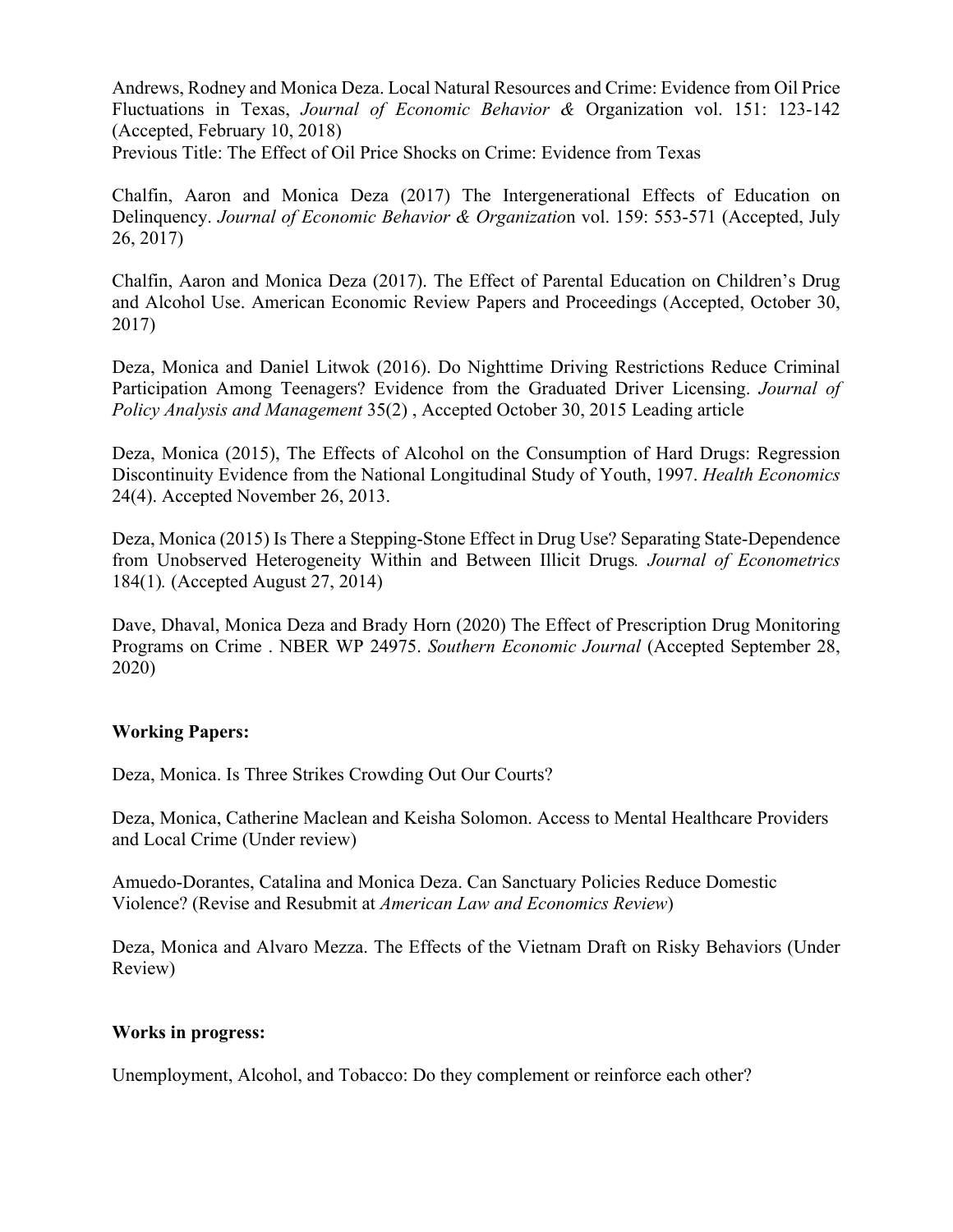Andrews, Rodney and Monica Deza. Local Natural Resources and Crime: Evidence from Oil Price Fluctuations in Texas, *Journal of Economic Behavior &* Organization vol. 151: 123-142 (Accepted, February 10, 2018)

Previous Title: The Effect of Oil Price Shocks on Crime: Evidence from Texas

Chalfin, Aaron and Monica Deza (2017) The Intergenerational Effects of Education on Delinquency. *Journal of Economic Behavior & Organizatio*n vol. 159: 553-571 (Accepted, July 26, 2017)

Chalfin, Aaron and Monica Deza (2017). The Effect of Parental Education on Children's Drug and Alcohol Use. American Economic Review Papers and Proceedings (Accepted, October 30, 2017)

Deza, Monica and Daniel Litwok (2016). Do Nighttime Driving Restrictions Reduce Criminal Participation Among Teenagers? Evidence from the Graduated Driver Licensing. *Journal of Policy Analysis and Management* 35(2) , Accepted October 30, 2015 Leading article

Deza, Monica (2015), The Effects of Alcohol on the Consumption of Hard Drugs: Regression Discontinuity Evidence from the National Longitudinal Study of Youth, 1997. *Health Economics* 24(4). Accepted November 26, 2013.

Deza, Monica (2015) Is There a Stepping-Stone Effect in Drug Use? Separating State-Dependence from Unobserved Heterogeneity Within and Between Illicit Drugs*. Journal of Econometrics* 184(1)*.* (Accepted August 27, 2014)

Dave, Dhaval, Monica Deza and Brady Horn (2020) The Effect of Prescription Drug Monitoring Programs on Crime . NBER WP 24975. *Southern Economic Journal* (Accepted September 28, 2020)

#### **Working Papers:**

Deza, Monica. Is Three Strikes Crowding Out Our Courts?

Deza, Monica, Catherine Maclean and Keisha Solomon. Access to Mental Healthcare Providers and Local Crime (Under review)

Amuedo-Dorantes, Catalina and Monica Deza. Can Sanctuary Policies Reduce Domestic Violence? (Revise and Resubmit at *American Law and Economics Review*)

Deza, Monica and Alvaro Mezza. The Effects of the Vietnam Draft on Risky Behaviors (Under Review)

#### **Works in progress:**

Unemployment, Alcohol, and Tobacco: Do they complement or reinforce each other?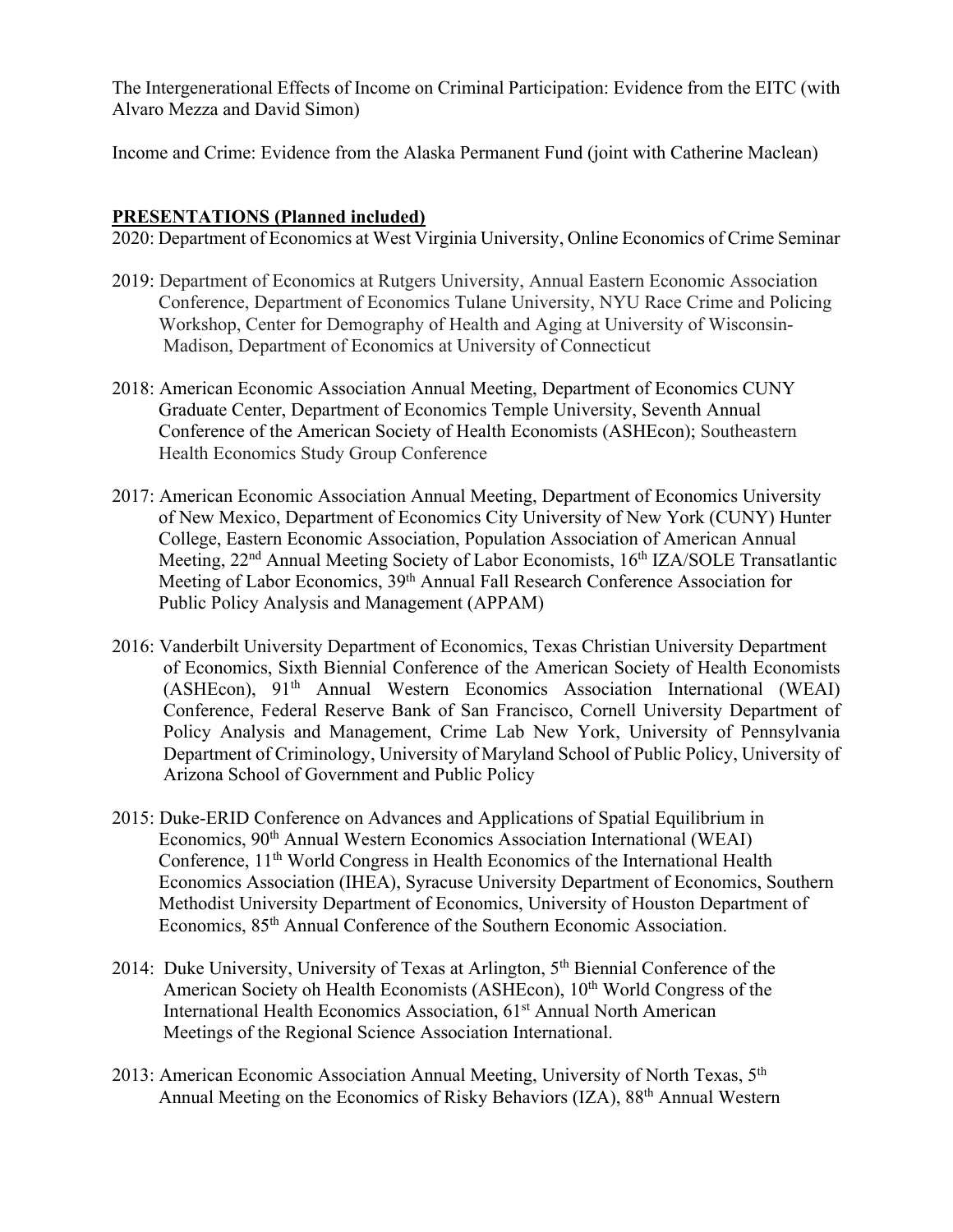The Intergenerational Effects of Income on Criminal Participation: Evidence from the EITC (with Alvaro Mezza and David Simon)

Income and Crime: Evidence from the Alaska Permanent Fund (joint with Catherine Maclean)

#### **PRESENTATIONS (Planned included)**

2020: Department of Economics at West Virginia University, Online Economics of Crime Seminar

- 2019: Department of Economics at Rutgers University, Annual Eastern Economic Association Conference, Department of Economics Tulane University, NYU Race Crime and Policing Workshop, Center for Demography of Health and Aging at University of Wisconsin- Madison, Department of Economics at University of Connecticut
- 2018: American Economic Association Annual Meeting, Department of Economics CUNY Graduate Center, Department of Economics Temple University, Seventh Annual Conference of the American Society of Health Economists (ASHEcon); Southeastern Health Economics Study Group Conference
- 2017: American Economic Association Annual Meeting, Department of Economics University of New Mexico, Department of Economics City University of New York (CUNY) Hunter College, Eastern Economic Association, Population Association of American Annual Meeting, 22<sup>nd</sup> Annual Meeting Society of Labor Economists, 16<sup>th</sup> IZA/SOLE Transatlantic Meeting of Labor Economics, 39th Annual Fall Research Conference Association for Public Policy Analysis and Management (APPAM)
- 2016: Vanderbilt University Department of Economics, Texas Christian University Department of Economics, Sixth Biennial Conference of the American Society of Health Economists (ASHEcon), 91<sup>th</sup> Annual Western Economics Association International (WEAI) Conference, Federal Reserve Bank of San Francisco, Cornell University Department of Policy Analysis and Management, Crime Lab New York, University of Pennsylvania Department of Criminology, University of Maryland School of Public Policy, University of Arizona School of Government and Public Policy
- 2015: Duke-ERID Conference on Advances and Applications of Spatial Equilibrium in Economics, 90th Annual Western Economics Association International (WEAI) Conference, 11<sup>th</sup> World Congress in Health Economics of the International Health Economics Association (IHEA), Syracuse University Department of Economics, Southern Methodist University Department of Economics, University of Houston Department of Economics, 85th Annual Conference of the Southern Economic Association.
- 2014: Duke University, University of Texas at Arlington, 5<sup>th</sup> Biennial Conference of the American Society oh Health Economists (ASHEcon), 10<sup>th</sup> World Congress of the International Health Economics Association, 61<sup>st</sup> Annual North American Meetings of the Regional Science Association International.
- 2013: American Economic Association Annual Meeting, University of North Texas, 5<sup>th</sup> Annual Meeting on the Economics of Risky Behaviors (IZA), 88th Annual Western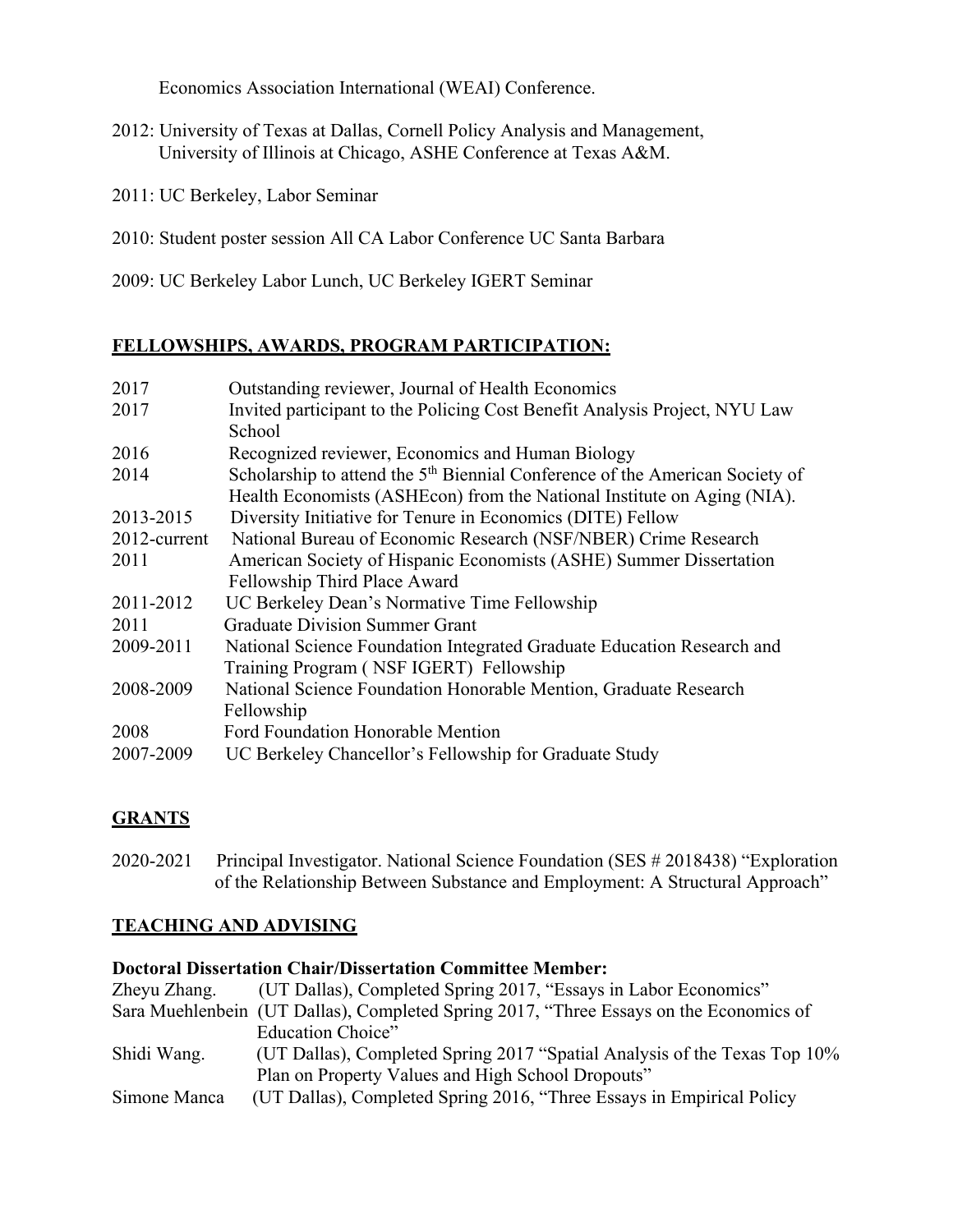Economics Association International (WEAI) Conference.

- 2012: University of Texas at Dallas, Cornell Policy Analysis and Management, University of Illinois at Chicago, ASHE Conference at Texas A&M.
- 2011: UC Berkeley, Labor Seminar
- 2010: Student poster session All CA Labor Conference UC Santa Barbara
- 2009: UC Berkeley Labor Lunch, UC Berkeley IGERT Seminar

# **FELLOWSHIPS, AWARDS, PROGRAM PARTICIPATION:**

| 2017         | Outstanding reviewer, Journal of Health Economics                                        |  |
|--------------|------------------------------------------------------------------------------------------|--|
| 2017         | Invited participant to the Policing Cost Benefit Analysis Project, NYU Law               |  |
|              | School                                                                                   |  |
| 2016         | Recognized reviewer, Economics and Human Biology                                         |  |
| 2014         | Scholarship to attend the 5 <sup>th</sup> Biennial Conference of the American Society of |  |
|              | Health Economists (ASHEcon) from the National Institute on Aging (NIA).                  |  |
| 2013-2015    | Diversity Initiative for Tenure in Economics (DITE) Fellow                               |  |
| 2012-current | National Bureau of Economic Research (NSF/NBER) Crime Research                           |  |
| 2011         | American Society of Hispanic Economists (ASHE) Summer Dissertation                       |  |
|              | Fellowship Third Place Award                                                             |  |
| 2011-2012    | UC Berkeley Dean's Normative Time Fellowship                                             |  |
| 2011         | <b>Graduate Division Summer Grant</b>                                                    |  |
| 2009-2011    | National Science Foundation Integrated Graduate Education Research and                   |  |
|              | Training Program (NSF IGERT) Fellowship                                                  |  |
| 2008-2009    | National Science Foundation Honorable Mention, Graduate Research                         |  |
|              | Fellowship                                                                               |  |
| 2008         | Ford Foundation Honorable Mention                                                        |  |
| 2007-2009    | UC Berkeley Chancellor's Fellowship for Graduate Study                                   |  |

# **GRANTS**

2020-2021 Principal Investigator. National Science Foundation (SES # 2018438) "Exploration of the Relationship Between Substance and Employment: A Structural Approach"

#### **TEACHING AND ADVISING**

#### **Doctoral Dissertation Chair/Dissertation Committee Member:**

| Zheyu Zhang. | (UT Dallas), Completed Spring 2017, "Essays in Labor Economics"                        |  |
|--------------|----------------------------------------------------------------------------------------|--|
|              | Sara Muehlenbein (UT Dallas), Completed Spring 2017, "Three Essays on the Economics of |  |
|              | Education Choice"                                                                      |  |
| Shidi Wang.  | (UT Dallas), Completed Spring 2017 "Spatial Analysis of the Texas Top 10%              |  |
|              | Plan on Property Values and High School Dropouts"                                      |  |
| Simone Manca | (UT Dallas), Completed Spring 2016, "Three Essays in Empirical Policy                  |  |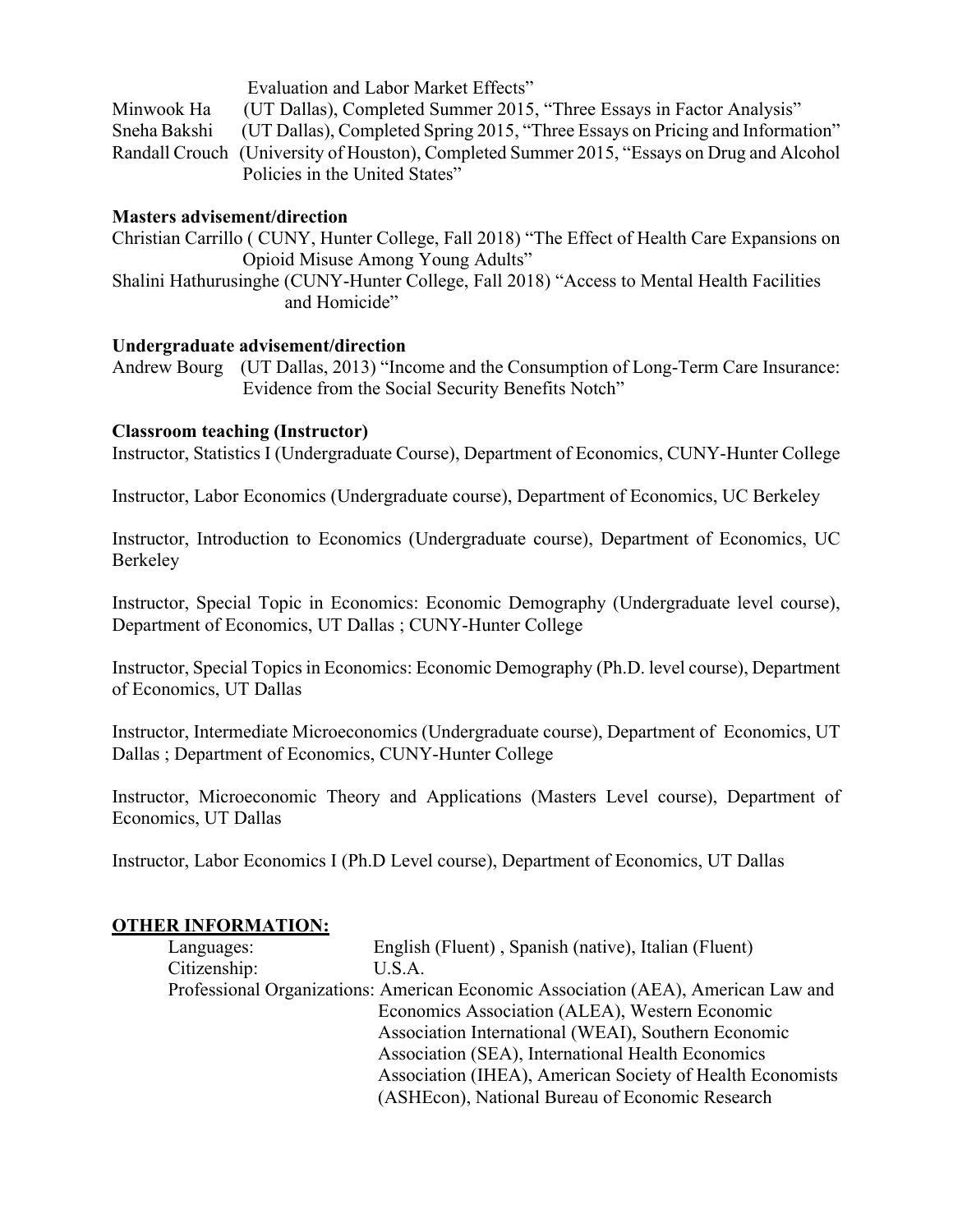Evaluation and Labor Market Effects" Minwook Ha (UT Dallas), Completed Summer 2015, "Three Essays in Factor Analysis" Sneha Bakshi (UT Dallas), Completed Spring 2015, "Three Essays on Pricing and Information" Randall Crouch (University of Houston), Completed Summer 2015, "Essays on Drug and Alcohol Policies in the United States"

#### **Masters advisement/direction**

Christian Carrillo ( CUNY, Hunter College, Fall 2018) "The Effect of Health Care Expansions on Opioid Misuse Among Young Adults"

Shalini Hathurusinghe (CUNY-Hunter College, Fall 2018) "Access to Mental Health Facilities and Homicide"

#### **Undergraduate advisement/direction**

Andrew Bourg (UT Dallas, 2013) "Income and the Consumption of Long-Term Care Insurance: Evidence from the Social Security Benefits Notch"

# **Classroom teaching (Instructor)**

Instructor, Statistics I (Undergraduate Course), Department of Economics, CUNY-Hunter College

Instructor, Labor Economics (Undergraduate course), Department of Economics, UC Berkeley

Instructor, Introduction to Economics (Undergraduate course), Department of Economics, UC Berkeley

Instructor, Special Topic in Economics: Economic Demography (Undergraduate level course), Department of Economics, UT Dallas ; CUNY-Hunter College

Instructor, Special Topics in Economics: Economic Demography (Ph.D. level course), Department of Economics, UT Dallas

Instructor, Intermediate Microeconomics (Undergraduate course), Department of Economics, UT Dallas ; Department of Economics, CUNY-Hunter College

Instructor, Microeconomic Theory and Applications (Masters Level course), Department of Economics, UT Dallas

Instructor, Labor Economics I (Ph.D Level course), Department of Economics, UT Dallas

# **OTHER INFORMATION:**

| Languages:   | English (Fluent), Spanish (native), Italian (Fluent)                              |
|--------------|-----------------------------------------------------------------------------------|
| Citizenship: | U.S.A.                                                                            |
|              | Professional Organizations: American Economic Association (AEA), American Law and |
|              | Economics Association (ALEA), Western Economic                                    |
|              | Association International (WEAI), Southern Economic                               |
|              | Association (SEA), International Health Economics                                 |
|              | Association (IHEA), American Society of Health Economists                         |
|              | (ASHEcon), National Bureau of Economic Research                                   |